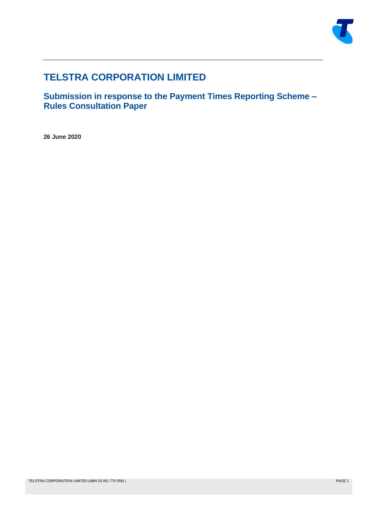

# **TELSTRA CORPORATION LIMITED**

**Submission in response to the Payment Times Reporting Scheme – Rules Consultation Paper**

**26 June 2020**